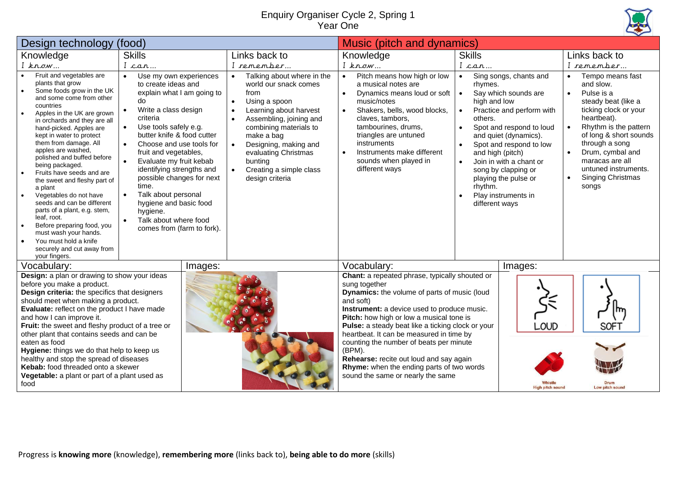## Enquiry Organiser Cycle 2, Spring 1 Year One



| (food)<br>Design technology                                                                                                                                                                                                                                                                                                                                                                                                                                                                                                                                                                                                                                                                  |                                                                                                                                                                                                                                                                                                                                                                                                                                                                                                                                   |  |                                                                                                                                                                                                                                                                                                                            | Music (pitch and dynamics)                                                                                                                                                                                                                                                                                                                                                                                                                                                                                 |                                                                                                                                         |                                                                                                                                                                                                                                                              |                                                                                                                                                                                                                                                                                                                                                      |  |
|----------------------------------------------------------------------------------------------------------------------------------------------------------------------------------------------------------------------------------------------------------------------------------------------------------------------------------------------------------------------------------------------------------------------------------------------------------------------------------------------------------------------------------------------------------------------------------------------------------------------------------------------------------------------------------------------|-----------------------------------------------------------------------------------------------------------------------------------------------------------------------------------------------------------------------------------------------------------------------------------------------------------------------------------------------------------------------------------------------------------------------------------------------------------------------------------------------------------------------------------|--|----------------------------------------------------------------------------------------------------------------------------------------------------------------------------------------------------------------------------------------------------------------------------------------------------------------------------|------------------------------------------------------------------------------------------------------------------------------------------------------------------------------------------------------------------------------------------------------------------------------------------------------------------------------------------------------------------------------------------------------------------------------------------------------------------------------------------------------------|-----------------------------------------------------------------------------------------------------------------------------------------|--------------------------------------------------------------------------------------------------------------------------------------------------------------------------------------------------------------------------------------------------------------|------------------------------------------------------------------------------------------------------------------------------------------------------------------------------------------------------------------------------------------------------------------------------------------------------------------------------------------------------|--|
| Knowledge                                                                                                                                                                                                                                                                                                                                                                                                                                                                                                                                                                                                                                                                                    | <b>Skills</b>                                                                                                                                                                                                                                                                                                                                                                                                                                                                                                                     |  | Links back to                                                                                                                                                                                                                                                                                                              | Knowledge                                                                                                                                                                                                                                                                                                                                                                                                                                                                                                  | <b>Skills</b>                                                                                                                           |                                                                                                                                                                                                                                                              | Links back to                                                                                                                                                                                                                                                                                                                                        |  |
| $I$ know                                                                                                                                                                                                                                                                                                                                                                                                                                                                                                                                                                                                                                                                                     | I can                                                                                                                                                                                                                                                                                                                                                                                                                                                                                                                             |  | I remember                                                                                                                                                                                                                                                                                                                 | $I$ know                                                                                                                                                                                                                                                                                                                                                                                                                                                                                                   | I car…                                                                                                                                  |                                                                                                                                                                                                                                                              | remember                                                                                                                                                                                                                                                                                                                                             |  |
| Fruit and vegetables are<br>plants that grow<br>Some foods grow in the UK<br>$\bullet$<br>and some come from other<br>countries<br>Apples in the UK are grown<br>$\bullet$<br>in orchards and they are all<br>hand-picked. Apples are<br>kept in water to protect<br>them from damage. All<br>apples are washed,<br>polished and buffed before<br>being packaged.<br>Fruits have seeds and are<br>$\bullet$<br>the sweet and fleshy part of<br>a plant<br>Vegetables do not have<br>seeds and can be different<br>parts of a plant, e.g. stem,<br>leaf, root.<br>Before preparing food, you<br>must wash your hands.<br>You must hold a knife<br>securely and cut away from<br>your fingers. | Use my own experiences<br>$\bullet$<br>to create ideas and<br>explain what I am going to<br>do<br>Write a class design<br>$\bullet$<br>criteria<br>Use tools safely e.g.<br>$\bullet$<br>butter knife & food cutter<br>Choose and use tools for<br>$\bullet$<br>fruit and vegetables,<br>Evaluate my fruit kebab<br>$\bullet$<br>identifying strengths and<br>possible changes for next<br>time.<br>Talk about personal<br>$\bullet$<br>hygiene and basic food<br>hygiene.<br>Talk about where food<br>comes from (farm to fork). |  | Talking about where in the<br>world our snack comes<br>from<br>Using a spoon<br>$\bullet$<br>Learning about harvest<br>$\bullet$<br>Assembling, joining and<br>combining materials to<br>make a bag<br>Designing, making and<br>evaluating Christmas<br>bunting<br>Creating a simple class<br>$\bullet$<br>design criteria | Pitch means how high or low<br>$\bullet$<br>a musical notes are<br>Dynamics means loud or soft<br>$\bullet$<br>music/notes<br>Shakers, bells, wood blocks,<br>claves, tambors,<br>tambourines, drums,<br>triangles are untuned<br>instruments<br>Instruments make different<br>$\bullet$<br>sounds when played in<br>different ways                                                                                                                                                                        | $\bullet$<br>rhymes.<br>$\bullet$<br>high and low<br>others.<br>$\bullet$<br>and high (pitch)<br>$\bullet$<br>rhythm.<br>different ways | Sing songs, chants and<br>Say which sounds are<br>Practice and perform with<br>Spot and respond to loud<br>and quiet (dynamics).<br>Spot and respond to low<br>Join in with a chant or<br>song by clapping or<br>playing the pulse or<br>Play instruments in | Tempo means fast<br>$\bullet$<br>and slow.<br>Pulse is a<br>$\bullet$<br>steady beat (like a<br>ticking clock or your<br>heartbeat).<br>Rhythm is the pattern<br>$\bullet$<br>of long & short sounds<br>through a song<br>Drum, cymbal and<br>$\bullet$<br>maracas are all<br>untuned instruments.<br><b>Singing Christmas</b><br>$\bullet$<br>songs |  |
| Vocabulary:<br>Images:                                                                                                                                                                                                                                                                                                                                                                                                                                                                                                                                                                                                                                                                       |                                                                                                                                                                                                                                                                                                                                                                                                                                                                                                                                   |  |                                                                                                                                                                                                                                                                                                                            | Vocabulary:                                                                                                                                                                                                                                                                                                                                                                                                                                                                                                |                                                                                                                                         | Images:                                                                                                                                                                                                                                                      |                                                                                                                                                                                                                                                                                                                                                      |  |
| Design: a plan or drawing to show your ideas<br>before you make a product.<br>Design criteria: the specifics that designers<br>should meet when making a product.<br>Evaluate: reflect on the product I have made<br>and how I can improve it.<br>Fruit: the sweet and fleshy product of a tree or<br>other plant that contains seeds and can be<br>eaten as food<br>Hygiene: things we do that help to keep us<br>healthy and stop the spread of diseases<br>Kebab: food threaded onto a skewer<br>Vegetable: a plant or part of a plant used as<br>food                                                                                                                                    |                                                                                                                                                                                                                                                                                                                                                                                                                                                                                                                                   |  |                                                                                                                                                                                                                                                                                                                            | Chant: a repeated phrase, typically shouted or<br>sung together<br>Dynamics: the volume of parts of music (loud<br>and soft)<br>Instrument: a device used to produce music.<br>Pitch: how high or low a musical tone is<br>Pulse: a steady beat like a ticking clock or your<br>heartbeat. It can be measured in time by<br>counting the number of beats per minute<br>(BPM).<br>Rehearse: recite out loud and say again<br>Rhyme: when the ending parts of two words<br>sound the same or nearly the same |                                                                                                                                         | <b>_OUD</b><br><b>High pitch sound</b>                                                                                                                                                                                                                       | SOFT<br>Low pitch sound                                                                                                                                                                                                                                                                                                                              |  |